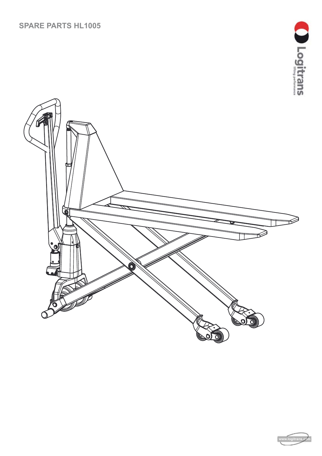#### **SPARE PARTS HL1005**



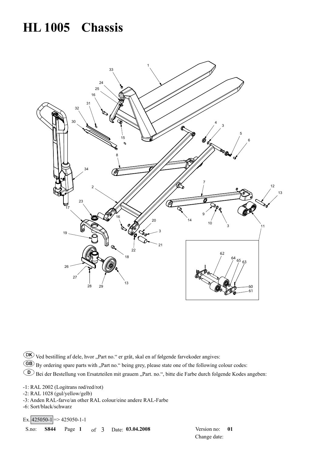# **HL 1005 Chassis**



DK Ved bestilling af dele, hvor "Part no." er gråt, skal en af følgende farvekoder angives: GB By ordering spare parts with "Part no." being grey, please state one of the following colour codes: **E** Bei der Bestellung von Ersatzteilen mit grauem "Part. no.", bitte die Farbe durch folgende Kodes angeben:

-1: RAL 2002 (Logitrans rød/red/rot)

- -2: RAL 1028 (gul/yellow/gelb)
- -3: Anden RAL-farve/an other RAL colour/eine andere RAL-Farbe

-6: Sort/black/schwarz

 $\text{Ex.}$  425050-1 = > 425050-1-1

S.no: **S844** Page **1** of3 Date: **03.04.2008** Version no: **01**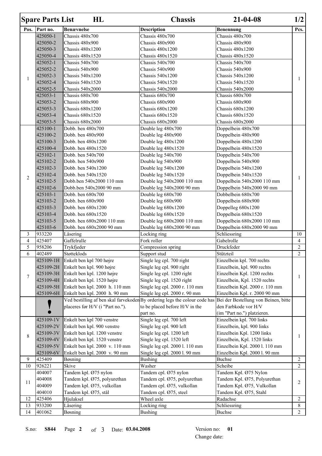|                     | <b>Spare Parts List</b> | HL                                              | <b>Chassis</b>                                                             | $21 - 04 - 08$                       | 1/2            |
|---------------------|-------------------------|-------------------------------------------------|----------------------------------------------------------------------------|--------------------------------------|----------------|
| Pos.                | Part no.                | <b>Benævnelse</b>                               | <b>Description</b>                                                         | <b>Benennung</b>                     | Pcs.           |
|                     | 425050-1                | Chassis 480x700                                 | Chassis 480x700                                                            | Chassis 480x700                      |                |
|                     | 425050-2                | Chassis 480x900                                 | Chassis 480x900                                                            | Chassis 480x900                      |                |
|                     | 425050-3                | Chassis 480x1200                                | Chassis 480x1200                                                           | Chassis 480x1200                     |                |
|                     | 425050-4                | Chassis 480x1520                                | Chassis 480x1520                                                           | Chassis 480x1520                     |                |
|                     | 425052-1                | Chassis 540x700                                 | Chassis 540x700                                                            | Chassis 540x700                      |                |
|                     | 425052-2                | Chassis 540x900                                 | Chassis 540x900                                                            | Chassis 540x900                      |                |
|                     | 425052-3                | Chassis 540x1200                                | Chassis 540x1200                                                           | Chassis 540x1200                     |                |
| $\mathbf{1}$        | 425052-4                | Chassis 540x1520                                | Chassis 540x1520                                                           | Chassis 540x1520                     | 1              |
|                     | 425052-5                | Chassis 540x2000                                | Chassis 540x2000                                                           | Chassis 540x2000                     |                |
|                     | 425053-1                | Chassis 680x700                                 | Chassis 680x700                                                            | Chassis 680x700                      |                |
|                     | 425053-2                | Chassis 680x900                                 | Chassis 680x900                                                            | Chassis 680x900                      |                |
|                     | 425053-3                | Chassis 680x1200                                | Chassis 680x1200                                                           | Chassis 680x1200                     |                |
|                     | 425053-4                | Chassis 680x1520                                | Chassis 680x1520                                                           | Chassis 680x1520                     |                |
|                     | 425053-5                | Chassis 680x2000                                | Chassis 680x2000                                                           | Chassis 680x2000                     |                |
|                     | 425100-1                | Dobb. ben 480x700                               | Double leg 480x700                                                         | Doppelbein 480x700                   |                |
|                     | 425100-2                | Dobb. ben 480x900                               | Double leg 480x900                                                         | Doppelbein 480x900                   |                |
|                     | 425100-3                | Dobb. ben 480x1200                              | Double leg 480x1200                                                        | Doppelbein 480x1200                  |                |
|                     | 425100-4                | Dobb. ben 480x1520                              | Double leg 480x1520                                                        | Doppelbein 480x1520                  |                |
|                     | 425102-1                | Dobb. ben 540x700                               | Double leg 540x700                                                         | Doppelbein 540x700                   |                |
|                     | 425102-2                | Dobb. ben 540x900                               | Double leg 540x900                                                         | Doppelbein 540x900                   |                |
|                     | 425102-3                | Dobb. ben 540x1200                              | Double leg 540x1200                                                        | Doppelbein 540x1200                  |                |
|                     | 425102-4                | Dobb. ben 540x1520                              | Double leg 540x1520                                                        | Doppelbein 540x1520                  |                |
| 2                   | 425102-5                | Dobb.ben 540x2000 110 mm                        | Double leg 540x2000 110 mm                                                 | Doppelbein 540x2000 110 mm           | 1              |
|                     | 425102-6                | Dobb.ben 540x2000 90 mm                         | Double leg 540x2000 90 mm                                                  | Doppelbein 540x2000 90 mm            |                |
|                     | 425103-1                | Dobb. ben 680x700                               | Double leg 680x700                                                         | Dobbelbein 680x700                   |                |
|                     |                         |                                                 |                                                                            |                                      |                |
|                     | 425103-2<br>425103-3    | Dobb. ben 680x900<br>Dobb. ben 680x1200         | Double leg 680x900                                                         | Doppelbein 680x900                   |                |
|                     |                         |                                                 | Double leg 680x1200                                                        | Doppelleg 680x1200                   |                |
|                     | 425103-4<br>425103-5    | Dobb. ben 680x1520<br>Dobb. ben 680x2000 110 mm | Double leg 680x1520                                                        | Doppelbein 680x1520                  |                |
|                     |                         | Dobb. ben 680x2000 90 mm                        | Double leg 680x2000 110 mm                                                 | Doppelbein 680x2000 110 mm           |                |
|                     | 425103-6<br>933220      |                                                 | Double leg 680x2000 90 mm                                                  | Doppelbein 680x2000 90 mm            | 10             |
| 3<br>$\overline{4}$ | 425407                  | Låsering                                        | Locking ring<br>Fork roller                                                | Schliessring                         | $\overline{4}$ |
| 5                   |                         | Gaffelrulle                                     |                                                                            | Gabelrolle                           | $\overline{2}$ |
| 6                   | 958206                  | Trykfjeder                                      | Compression spring                                                         | Druckfeder                           | $\overline{2}$ |
|                     | 402489                  | Støtteklods                                     | Support stud                                                               | Stützteil                            |                |
|                     | 425109-1H               | Enkelt ben kpl 700 højre                        | Single leg cpl. 700 right                                                  | Einzelbein kpl. 700 rechts           |                |
|                     | 425109-2H               | Enkelt ben kpl. 900 højre                       | Single leg cpl. 900 right                                                  | Einzelbein, kpl. 900 rechts          |                |
| $\overline{7}$      | 425109-3H               | Enkelt ben kpl. 1200 højre                      | Single leg cpl. 1200 right                                                 | Einzelbein Kpl. 1200 rechts          | 1              |
|                     | 425109-4H               | Enkelt ben kpl. 1520 højre                      | Single leg cpl. 1520 right                                                 | Einzelbein, Kpl. 1520 rechts         |                |
|                     | 425109-5H               | Enkelt ben kpl. 2000 h. 110 mm                  | Single leg cpl. 2000 r. 110 mm                                             | Einzelbein Kpl. 2000 r. 110 mm       |                |
|                     | 425109-6H               | Enkelt ben kpl. 2000 h. 90 mm                   | Single leg cpl. 2000 r. 90 mm                                              | Einzelbein Kpl. r. 2000 90 mm        |                |
|                     |                         |                                                 | Ved bestilling af ben skal farvekoden By ordering legs the colour code has | Bei der Bestellung von Beinen, bitte |                |
|                     |                         | placeres før H/V (i "Part no.").                | to be placed before H/V in the                                             | den Farbkode vor H/V                 |                |
|                     |                         |                                                 | part no.                                                                   | (im "Part no.") platzieren.          |                |
|                     | 425109-1V               | Enkelt ben kpl 700 venstre                      | Single leg cpl. 700 left                                                   | Einzelbein kpl. 700 links            |                |
|                     | 425109-2V               | Enkelt ben kpl. 900 venstre                     | Single leg cpl. 900 left                                                   | Einzelbein, kpl. 900 links           |                |
| 8                   | 425109-3V               | Enkelt ben kpl. 1200 venstre                    | Single leg cpl. 1200 left                                                  | Einzelbein Kpl. 1200 links           | 1              |
|                     | 425109-4V               | Enkelt ben kpl. 1520 venstre                    | Single leg cpl. 1520 left                                                  | Einzelbein, Kpl. 1520 links          |                |
|                     | 425109-5V               | Enkelt ben kpl. 2000 v. 110 mm                  | Single leg cpl. 2000 l. 110 mm                                             | Einzelbein Kpl. 2000 l. 110 mm       |                |
|                     | 425109-6V               | Enkelt ben kpl. 2000 v. 90 mm                   | Single leg cpl. 2000 l. 90 mm                                              | Einzelbein Kpl. 2000 l. 90 mm        |                |
| 9                   | 425409                  | Bøsning                                         | <b>Bushing</b>                                                             | <b>Buchse</b>                        | $\sqrt{2}$     |
| 10                  | 926221                  | Skive                                           | Washer                                                                     | Scheibe                              | $\overline{2}$ |
|                     | 404007                  | Tandem kpl. Ø75 nylon                           | Tandem cpl. 075 nylon                                                      | Tandem Kpl. Ø75 Nylon                |                |
| 11                  | 404008                  | Tandem kpl. Ø75, polyurethan                    | Tandem cpl. Ø75, polyurethan                                               | Tandem Kpl. Ø75, Polyurethan         | 2              |
|                     | 404009                  | Tandem kpl. Ø75, vulkollan                      | Tandem cpl. Ø75, vulkollan                                                 | Tandem Kpl. Ø75, Vulkollan           |                |
|                     | 404010                  | Tandem kpl. Ø75, stål                           | Tandem cpl. Ø75, steel                                                     | Tandem Kpl. Ø75, Stahl               |                |
| 12                  | 425406                  | Hjulaksel                                       | Wheel axle                                                                 | Radachse                             | $\overline{2}$ |
| 13                  | 933200                  | Låsering                                        | Locking ring                                                               | Schliessring                         | 8              |
| 14                  | 401062                  | Bøsning                                         | <b>Bushing</b>                                                             | <b>Buchse</b>                        | $\overline{2}$ |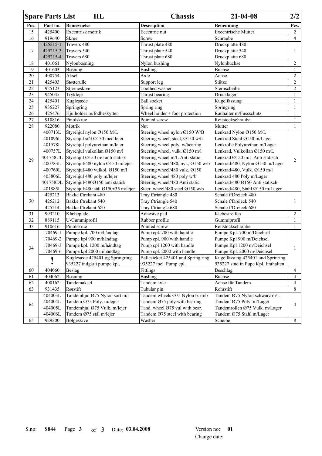|        | <b>Spare Parts List</b> | HL                                 | <b>Chassis</b>                             | $21 - 04 - 08$                     | 2/2            |
|--------|-------------------------|------------------------------------|--------------------------------------------|------------------------------------|----------------|
| Pos.   | Part no.                | <b>Benævnelse</b>                  | <b>Description</b>                         | Benennung                          | Pcs.           |
| 15     | 425400                  | Excentrisk møtrik                  | Eccentric nut                              | <b>Excentrische Mutter</b>         | $\overline{c}$ |
| 16     | 919640                  | <b>Skrue</b>                       | Screw                                      | Schraube                           | $\overline{4}$ |
|        | 425215-1                | Travers 480                        | Thrust plate 480                           | Druckplatte 480                    | 1              |
| 17     | 425215-3                | Travers 540                        | Thrust plate 540                           | Druckplatte 540                    |                |
|        | 425215-4                | Travers 680                        | Thrust plate 680                           | Druckplatte 680                    |                |
| 18     | 401061                  | Nylonbøsning                       | Nylon bushing                              | Nylonbuchse                        | $\overline{c}$ |
| 19     | 401603                  | Bøsning                            | <b>Bushing</b>                             | <b>Buchse</b>                      | 1              |
| 20     | 400754                  | Aksel                              | Axle                                       | Achse                              | $\overline{c}$ |
| 21     | 425403                  | Støtterulle                        | Support leg                                | Stütze                             | $\overline{c}$ |
| 22     | 925123                  | Stjerneskive                       | Toothed washer                             | Sternscheibe                       | $\overline{c}$ |
| 23     | 945045                  | Trykleje                           | Thrust bearing                             | Drucklager                         | 1              |
| 24     | 425401                  | Kuglesæde                          | <b>Ball</b> socket                         | Kugelfassung                       | $\mathbf{1}$   |
| 25     | 935227                  | Springring                         | Spring ring                                | Springring                         | 1              |
| 26     | 425476                  | Hjulholder m/fodbeskytter          | Wheel holder + foot protection             | Radhalter m/Fussschutz             | 1              |
| 27     | 910816                  | Pinolskrue                         | Pointed screw                              | Reitstockschraube                  | 1              |
| $28\,$ | 922080                  | Møtrik                             | Nut                                        | Mutter                             | 1              |
|        | 400713L                 | Styrehjul nylon Ø150 M/L           | Steering wheel nylon $\varnothing$ 150 W/B | Lenkrad Nylon Ø150 M/L             |                |
|        | 401096L                 | Styrehjul stål Ø150 med lejer      | Steering wheel, steel, Ø150 w/b            | Lenkrad Stahl Ø150 m/Lager         |                |
|        | 401578L                 | Styrehjul polyurethan m/lejer      | Steering wheel poly. w/bearing             | Lenkrolle Polyurethan m/Lager      |                |
|        | 400757L                 | Styrehjul vulkollan Ø150 m/l       | Steering wheel, vulk. Ø150 m/l             | Lenkrad, Vulkollan Ø150 m/L        |                |
|        | 401758UL                | Styrehjul Ø150 m/l anti statisk    | Steering wheel m/L Anti static             | Lenkrad Ø150 m/L Anti statisch     | 2              |
| 29     | 400783L                 | Styrehjul/480 nylon Ø150 m/lejer   | Steering wheel/480, nyl., Ø150 w/b         | Lenkrad/480, Nylon Ø150 m/Lager    |                |
|        | 400760L                 | Styrehjul/480 vulkol. Ø150 m/l     | Steering wheel/480 vulk. Ø150              | Lenkrad/480, Vulk. Ø150 m/l        |                |
|        | 403806L                 | Styrehjul 480 poly m/lejer         | Steering wheel 480 poly w/b                | Lenkrad 480 Poly m/Lager           |                |
|        | 401758DL                | Styrehjul/480Ø150 anti statisk     | Steering wheel/480 Anti static             | Lenkrad/480 Ø150 Anti statisch     |                |
|        | 401885L                 | Styrehjul/480 stål Ø150x35 m/lejer | Steer. wheel/480 steel Ø150 w/b            | Lenkrad/480, Stahl Ø150 m/Lager    |                |
|        | 425213                  | Bakke f/trekant 480                | Tray f/triangle 480                        | Schale f/Dreieck 480               | 1              |
| 30     | 425212                  | Bakke f/trekant 540                | Tray f/triangle 540                        | Schale f/Dreieck 540               |                |
|        | 425214                  | Bakke f/trekant 680                | Tray f/triangle 680                        | Schale f/Dreieck 680               |                |
| 31     | 993210                  | Klæbepude                          | Adhesive pad                               | Klebestreifen                      | $\overline{c}$ |
| 32     | 889115                  | U-Gummiprofil                      | Rubber profile                             | Gummiprofil                        | $\mathbf{1}$   |
| 33     | 910616                  | Pinolskrue                         | Pointed screw                              | Reitstockschraube                  | 1              |
|        | 170469-1                | Pumpe kpl. 700 m/håndtag           | Pump cpl. 700 with handle                  | Pumpe Kpl. 700 m/Deichsel          | 1              |
|        | 170469-2                | Pumpe kpl 900 m/håndtag            | Pump cpl. 900 with handle                  | Pumpe Kpl 900 m/Deichsel           |                |
| 34     | 170469-3                | Pumpe kpl. 1200 m/håndtag          | Pump cpl 1200 with handle                  | Pumpe Kpl 1200 m/Deichsel          |                |
|        | 170469-6                | Pumpe kpl 2000 m/håndtag           | Pump cpl. 2000 with handle                 | Pumpe Kpl. 2000 m/Deichsel         |                |
|        |                         | Kuglesæde 425401 og Springring     | Ballesicket 425401 and Spring ring         | Kugelfassung 425401 und Sprinring  |                |
|        |                         | 935227 indgår i pumpe kpl.         | 935227 incl. Pump cpl.                     | 935227 sind in Pupe Kpl. Enthalten |                |
| 60     | 404060                  | Beslag                             | Fittings                                   | Beschlag                           | 4              |
| 61     | 404062                  | Bøsning                            | <b>Bushing</b>                             | <b>Buchse</b>                      | 4              |
| 62     | 400162                  | Tandemaksel                        | Tandem axle                                | Achse für Tandem                   | 4              |
| 63     | 931435                  | Rørstift                           | Tubular pin                                | Rohrstift                          | 8              |
|        | 404003L                 | Tandemhjul Ø75 Nylon sort m/l      | Tandem wheels Ø75 Nylon b. m/b             | Tandem Ø75 Nylon schwarz m/L       |                |
| 64     | 404004L                 | Tandem Ø75 Poly. m/lejer           | Tandem Ø75 poly with bearing               | Tandem Ø75 Poly. m/Lager           | 4              |
|        | 404005L                 | Tandemhjul Ø75 Vulk. m/lejer       | Tand. wheel Ø75 vul with bear.             | Tandemrollen Ø75 Vulk. m/Lager     |                |
|        | 404006L                 | Tandem Ø75 stål m/lejer            | Tandem Ø75 steel with bearing              | Tandem Ø75 Stahl m/Lager           |                |
| 65     | 929200                  | Bølgeskive                         | Washer                                     | Scheibe                            | 8              |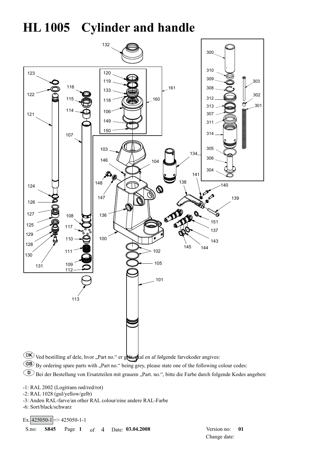## **HL 1005 Cylinder and handle**



- GB By ordering spare parts with "Part no." being grey, please state one of the following colour codes:
- **D** Bei der Bestellung von Ersatzteilen mit grauem "Part. no.", bitte die Farbe durch folgende Kodes angeben:

-1: RAL 2002 (Logitrans rød/red/rot)

- -2: RAL 1028 (gul/yellow/gelb)
- -3: Anden RAL-farve/an other RAL colour/eine andere RAL-Farbe

-6: Sort/black/schwarz

 $\text{Ex.}$  425050-1 = > 425050-1-1

S.no: **S845** Page **1** of4 Date: **03.04.2008** Version no: **01**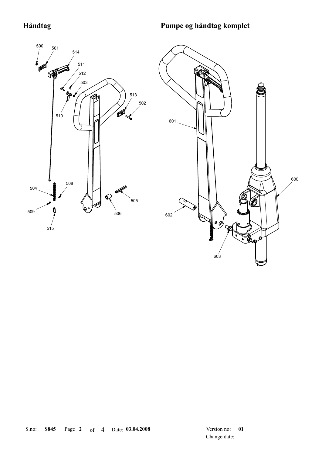### **Håndtag Pumpe og håndtag komplet**



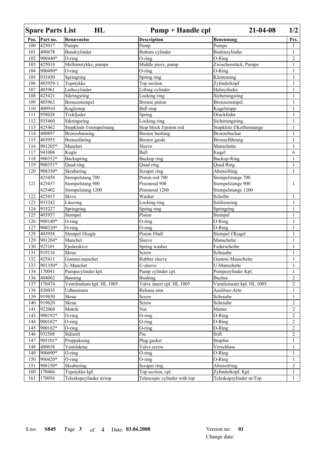|      | <b>Spare Parts List</b> | HL                         | Pump + Handle cpl            | $21 - 04 - 08$             | 1/2            |
|------|-------------------------|----------------------------|------------------------------|----------------------------|----------------|
| Pos. | Part no.                | <b>Benævnelse</b>          | <b>Description</b>           | Benennung                  | Pcs.           |
| 100  | 425017                  | Pumpe                      | $\overline{P}$ ump           | Pumpe                      |                |
| 101  | 400678                  | Bundcylinder               | Bottom cylinder              | Bodenzylinder              | 1              |
| 102  | 900440*                 | O-ring                     | $O$ -ring                    | O-Ring                     | $\overline{c}$ |
| 103  | 425018                  | Mellemstykke, pumpe        | Middle piece, pump           | Zwischenstück, Pumpe       | 1              |
| 104  | 900490*                 | $O$ -ring                  | $O$ -ring                    | O-Ring                     | 1              |
| 105  | 935450                  | Springring                 | Spring ring                  | Klemmring                  | 1              |
| 106  | 403959-1                | Topstykke                  | Top section                  | Zylinderkopf               | 1              |
| 107  | 403961                  | Løftecylinder              | Lifting cylinder             | Hubzylinder                | 1              |
| 108  | 425421                  | Sikringsring               | Locking ring                 | Sicherungsring             | 1              |
| 109  | 403963                  | Bronzestempel              | Bronze piston                | Bronzestempel              | 1              |
| 110  | 400910                  | Kuglestop                  | <b>Ball</b> stop             | Kugelstopp                 | 1              |
| 111  | 958028                  | Trykfjeder                 | Spring                       | Druckfeder                 | 1              |
| 112  | 935460                  | Sikringsring               | Locking ring                 | Sicherungsring             | $\mathbf{1}$   |
| 113  | 425462                  | Stopklods f/stempelstang   | Stop block f/piston rod      | Stopklotz f/Kolbenstange   | 1              |
| 114  | 400897                  | Bronzebøsning              | <b>Bronze</b> bushing        | Bronzebuchse               | 1              |
| 115  | 403955                  | <b>Bronzeføring</b>        | Bronze guide                 | Bronzeführung              | 1              |
| 116  | 901205*                 | Manchet                    | Sleeve                       | Manschette                 | 1              |
| 117  | 941006                  | Kugle                      | Ball                         | Kugel                      | 6              |
| 118  | 900352*                 | Backupring                 | Backup ring                  | Backup-Ring                | 1              |
| 119  | 900351*                 | Quad ring                  | Quad ring                    | Quad Ring                  | 1              |
| 120  | 908350*                 | Skrabering                 | Scraper ring                 | Abstreifring               | 1              |
|      | 425458                  | Stempelstang 700           | Piston rod 700               | Stempelstange 700          |                |
| 121  | 425457                  | Stempelstang 900           | Pistonrod 900                | Stempelstange 900          | 1              |
|      | 425402                  | Stempelstang 1200          | Pistonrod 1200               | Stempelstange 1200         |                |
| 122  | 425415                  | Skive                      | Washer                       | Scheibe                    | 1              |
| 123  | 933242                  | Låsering                   | Locking ring                 | Schliessring               | $\mathbf{1}$   |
| 124  | 935227                  | Springring                 | Spring ring                  | Springring                 | 1              |
| 125  | 403957                  | Stempel                    | Piston                       | Stempel                    | $\mathbf{1}$   |
| 126  | 900140*                 | O-ring                     | O-ring                       | O-Ring                     | 1              |
| 127  | 900220*                 | O-ring                     | $\overline{O}$ -ring         | O-Ring                     | 1              |
| 128  | 403958                  | Stempel f/kugle            | Piston f/ball                | Stempel f/Kugel            | 1              |
| 129  | 901204*                 | Manchet                    | Sleeve                       | Manschette                 | 1              |
| 130  | 925101                  | Fjederskive                | Spring washer                | Federscheibe               | 1              |
| 131  | 919116                  | Skrue                      | Screw                        | Schraube                   | 1              |
| 132  | 425411                  | Gummi-manchet              | Rubber sleeve                | Gummi-Manschette           | 1              |
| 133  | 901350*                 | U-Manchet                  | U-sleeve                     | U-Manschette               | 1              |
| 134  | 170041                  | Pumpecylinder kpl.         | Pump cylinder cpl.           | Pumpezylinder Kpl.         | 1              |
| 136  | 404062                  | Bøsning                    | <b>Bushing</b>               | <b>Buchse</b>              | $\overline{c}$ |
| 137  | 170474                  | Ventilindsats kpl. HL 1005 | Valve insert cpl. HL 1005    | Ventileinsatz kpl. HL 1005 | $\overline{2}$ |
| 138  | 420035                  | Udløserarm                 | Release arm                  | Auslöser-Arm               | 1              |
| 139  | 919850                  | Skrue                      | Screw                        | Schraube                   | 1              |
| 140  | 919620                  | Skrue                      | Screw                        | Schraube                   | $\overline{c}$ |
| 141  | 922060                  | Møtrik                     | Nut                          | Mutter                     | $\overline{c}$ |
| 143  | 900192*                 | $O$ -ring                  | O-ring                       | O-Ring                     | $\overline{c}$ |
| 144  | 900182*                 | $O$ -ring                  | O-ring                       | $\overline{O}$ -Ring       | $\overline{c}$ |
| 145  | 900162*                 | O-ring                     | O-ring                       | O-Ring                     | $\overline{c}$ |
| 146  | 932508                  | Stålstift                  | Pin                          | Stift                      | $\overline{c}$ |
| 147  | 905101*                 | Proppakning                | Plug gasket                  | Stopfen                    | $\mathbf{1}$   |
| 148  | 400658                  | Ventilskrue                | Valve screw                  | Verschluss                 | 1              |
| 149  | 900690*                 | O-ring                     | $O$ -ring                    | O-Ring                     | 1              |
| 150  | 900420*                 | O-ring                     | O-ring                       | O-Ring                     | $\mathbf{1}$   |
| 151  | 908150*                 | Skrabering                 | Scraper ring                 | Abstreifring               | $\overline{c}$ |
| 160  | 170466                  | Topstykke kpl.             | Top section, cpl.            | Zylinderkopf, Kpl.         | $\mathbf{1}$   |
| 161  | 170056                  | Teleskopcylinder m/top     | Telescopic cylinder with top | Teleskopzylinder m/Top     | $\mathbf{1}$   |